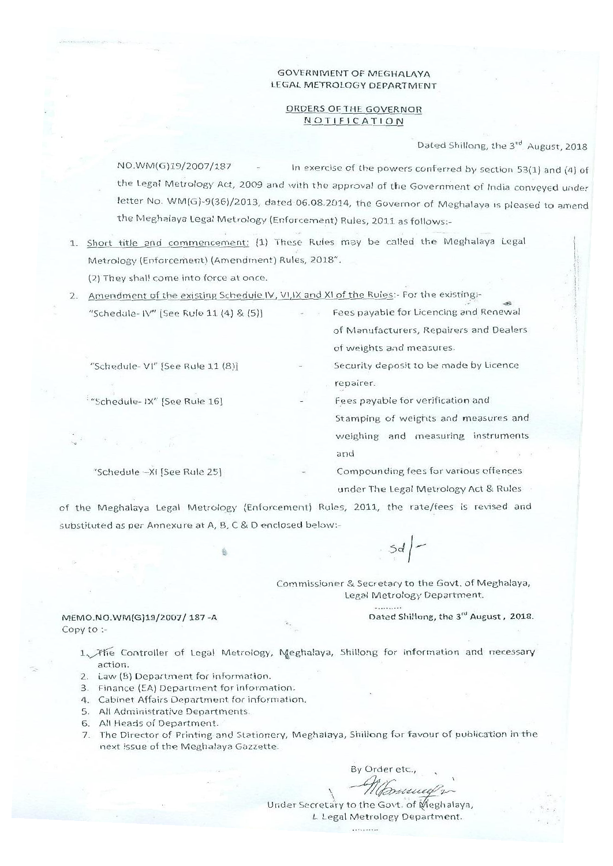#### **GOVERNMENT OF MEGHALAYA** LEGAL METROLOGY DEPARTMENT

#### ORDERS OF THE GOVERNOR NOTIFICATION

Dated Shillong, the 3rd August, 2018

NO.WM(G)19/2007/187 In exercise of the powers conferred by section 53(1) and (4) of the Legal Metrology Act, 2009 and with the approval of the Government of India conveyed under letter No. WM(G)-9(36)/2013, dated 06.08.2014, the Governor of Meghalaya is pleased to amend the Meghalaya Legal Metrology (Enforcement) Rules, 2011 as follows:-

1. Short title and commencement: (1) These Rules may be called the Meghalaya Legal Metrology (Enforcement) (Amendment) Rules, 2018".

(2) They shall come into force at once.

2. Amendment of the existing Schedule IV, VI, IX and XI of the Rules:- For the existing:-

| "Schedule- IV" [See Rule 11 (4) & (5)]                  | Fees payable for Licencing and Renewal   |
|---------------------------------------------------------|------------------------------------------|
|                                                         | of Manufacturers, Repairers and Dealers  |
|                                                         | of weights and measures.                 |
| "Schedule- VI" [See Rule 11 (8)]                        | Security deposit to be made by Licence   |
|                                                         | repairer.                                |
| "Schedule-IX" [See Rule 16]                             | Fees payable for verification and        |
|                                                         | Stamping of weights and measures and     |
| $\frac{d\theta}{d\theta}$ and $\frac{d\theta}{d\theta}$ | measuring instruments<br>and<br>weighing |
|                                                         | and and                                  |

"Schedule -XI [See Rule 25]

Compounding fees for various offences under The Legal Metrology Act & Rules

of the Meghalaya Legal Metrology (Enforcement) Rules, 2011, the rate/fees is revised and substituted as per Annexure at A, B, C & D enclosed below:-

 $Sd$ |-

Commissioner & Secretary to the Govt. of Meghalaya, Legal Metrology Department.

Dated Shillong, the 3rd August, 2018.

MEMO.NO.WM(G)19/2007/187-A Copy to :-

> 1. The Controller of Legal Metrology, Meghalaya, Shillong for information and necessary action.

- 2. Law (B) Department for information.
- 3. Finance (EA) Department for information.
- 4. Cabinet Affairs Department for information.
- 5. All Administrative Departments.
- 6. All Heads of Department.
- 7. The Director of Printing and Stationery, Meghalaya, Shillong for favour of publication in the next issue of the Meghalaya Gazzette.

By Order etc.,

Under Secretary to the Govt. of Meghalaya, L Legal Metrology Department.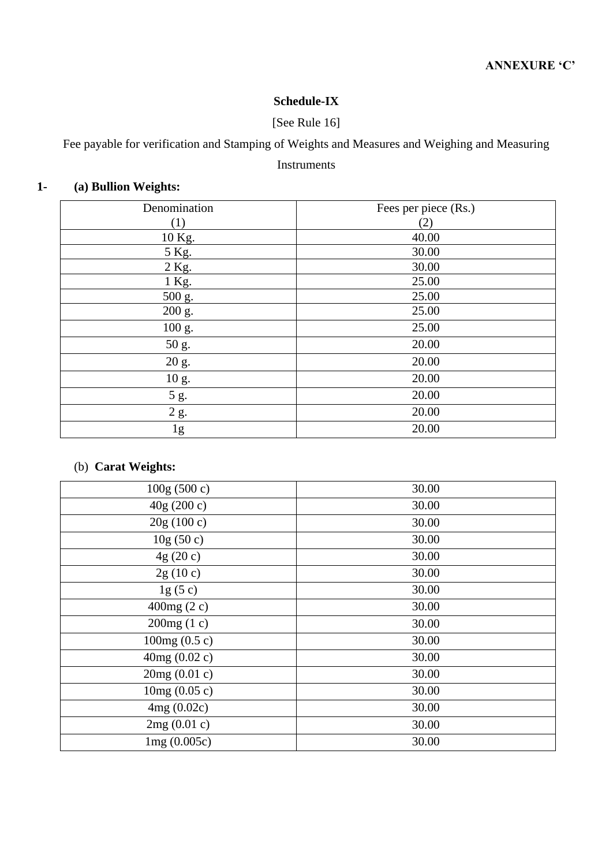# **Schedule-IX**

# [See Rule 16]

Fee payable for verification and Stamping of Weights and Measures and Weighing and Measuring

### Instruments

# **1- (a) Bullion Weights:**

| Denomination | Fees per piece (Rs.) |
|--------------|----------------------|
| (1)          | (2)                  |
| 10 Kg.       | 40.00                |
| 5 Kg.        | 30.00                |
| 2 Kg.        | 30.00                |
| 1 Kg.        | 25.00                |
| 500 g.       | 25.00                |
| 200 g.       | 25.00                |
| 100 g.       | 25.00                |
| 50 g.        | 20.00                |
| 20 g.        | 20.00                |
| 10 g.        | 20.00                |
| 5 g.         | 20.00                |
| 2 g.         | 20.00                |
| 1g           | 20.00                |

# (b) **Carat Weights:**

| 100g(500c)      | 30.00 |
|-----------------|-------|
| 40g (200 c)     | 30.00 |
| 20g(100c)       | 30.00 |
| 10g(50c)        | 30.00 |
| 4g(20c)         | 30.00 |
| 2g(10c)         | 30.00 |
| lg(5c)          | 30.00 |
| 400 $mg(2c)$    | 30.00 |
| 200mg(1 c)      | 30.00 |
| 100mg $(0.5 c)$ | 30.00 |
| 40mg(0.02c)     | 30.00 |
| 20mg(0.01c)     | 30.00 |
| 10mg(0.05c)     | 30.00 |
| 4mg(0.02c)      | 30.00 |
| 2mg(0.01 c)     | 30.00 |
| 1mg(0.005c)     | 30.00 |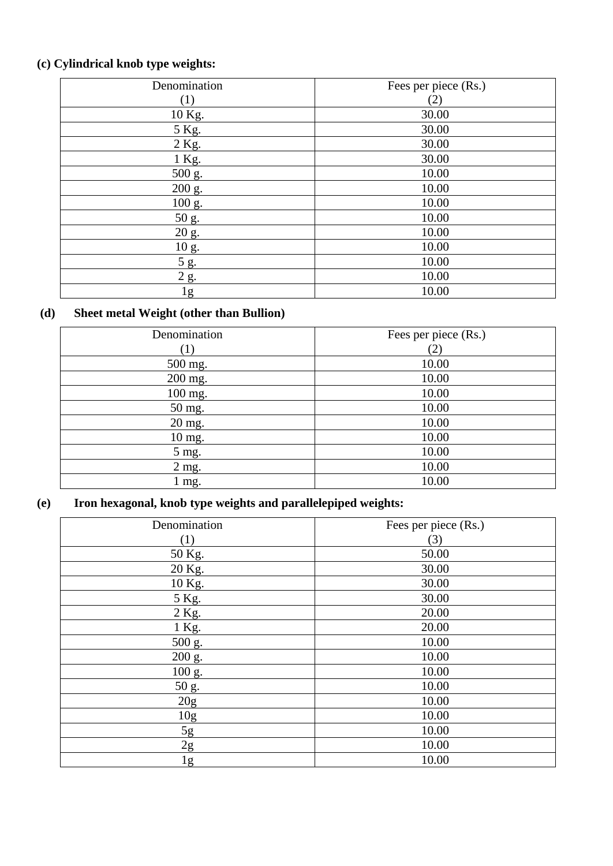# **(c) Cylindrical knob type weights:**

| Denomination        | Fees per piece (Rs.) |
|---------------------|----------------------|
|                     | $\left( 2\right)$    |
| 10 Kg.              | 30.00                |
| 5 Kg.               | 30.00                |
| 2 Kg.               | 30.00                |
| 1 Kg.               | 30.00                |
| $\overline{500}$ g. | 10.00                |
| 200 g.              | 10.00                |
| 100 g.              | 10.00                |
| 50 g.               | 10.00                |
| 20 g.               | 10.00                |
| 10 g.               | 10.00                |
| 5 g.                | 10.00                |
| 2 g.                | 10.00                |
| 1g                  | 10.00                |

# **(d) Sheet metal Weight (other than Bullion)**

| Denomination                       | Fees per piece (Rs.) |
|------------------------------------|----------------------|
|                                    | (2)                  |
| 500 mg.                            | 10.00                |
| 200 mg.                            | 10.00                |
| 100 mg.                            | 10.00                |
| 50 mg.                             | 10.00                |
| 20 mg.                             | 10.00                |
| $10 \frac{\text{mg}}{\text{mg}}$ . | 10.00                |
| 5 mg.                              | 10.00                |
| 2 mg.                              | 10.00                |
| 1 mg.                              | 10.00                |

# **(e) Iron hexagonal, knob type weights and parallelepiped weights:**

| Denomination    | Fees per piece (Rs.) |
|-----------------|----------------------|
| (1)             | (3)                  |
| 50 Kg.          | 50.00                |
| 20 Kg.          | 30.00                |
| 10 Kg.          | 30.00                |
| 5 Kg.           | 30.00                |
| 2 Kg.           | 20.00                |
| 1 Kg.           | 20.00                |
| 500 g.          | 10.00                |
| 200 g.          | 10.00                |
| 100 g.          | 10.00                |
| 50 g.           | 10.00                |
| 20g             | 10.00                |
| 10 <sub>g</sub> | 10.00                |
| 5g              | 10.00                |
| 2g              | 10.00                |
| 1g              | 10.00                |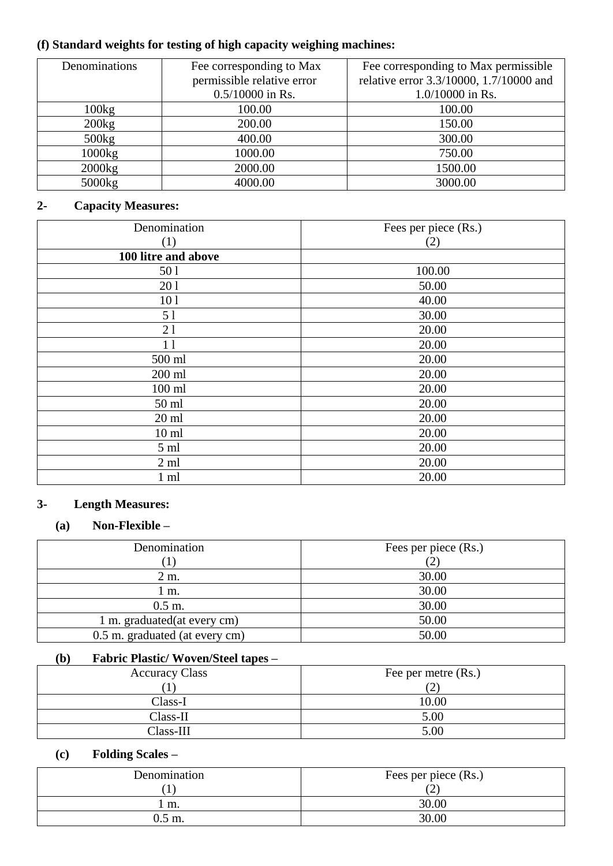# **(f) Standard weights for testing of high capacity weighing machines:**

| Denominations | Fee corresponding to Max   | Fee corresponding to Max permissible    |
|---------------|----------------------------|-----------------------------------------|
|               | permissible relative error | relative error 3.3/10000, 1.7/10000 and |
|               | $0.5/10000$ in Rs.         | 1.0/10000 in Rs.                        |
| 100kg         | 100.00                     | 100.00                                  |
| 200kg         | 200.00                     | 150.00                                  |
| 500kg         | 400.00                     | 300.00                                  |
| 1000kg        | 1000.00                    | 750.00                                  |
| 2000kg        | 2000.00                    | 1500.00                                 |
| 5000kg        | 4000.00                    | 3000.00                                 |

# **2- Capacity Measures:**

| Denomination        | Fees per piece (Rs.) |
|---------------------|----------------------|
| (1)                 | (2)                  |
| 100 litre and above |                      |
| 501                 | 100.00               |
| 201                 | 50.00                |
| 101                 | 40.00                |
| 5 1                 | 30.00                |
| 21                  | 20.00                |
| 11                  | 20.00                |
| 500 ml              | 20.00                |
| 200 ml              | 20.00                |
| $100$ ml            | 20.00                |
| 50 ml               | 20.00                |
| $20 \text{ ml}$     | 20.00                |
| $10 \text{ ml}$     | 20.00                |
| 5 <sub>ml</sub>     | 20.00                |
| $2 \text{ ml}$      | 20.00                |
| $1 \text{ ml}$      | 20.00                |

# **3- Length Measures:**

# **(a) Non-Flexible –**

| Denomination                   | Fees per piece (Rs.) |
|--------------------------------|----------------------|
|                                |                      |
| 2 m.                           | 30.00                |
| 1 m.                           | 30.00                |
| $0.5$ m.                       | 30.00                |
| 1 m. graduated (at every cm)   | 50.00                |
| 0.5 m. graduated (at every cm) | 50.00                |

## **(b) Fabric Plastic/ Woven/Steel tapes –**

| <b>Accuracy Class</b> | Fee per metre (Rs.)      |
|-----------------------|--------------------------|
|                       | $\overline{\phantom{0}}$ |
| Class-I               | 10.00                    |
| $Class-II$            | 5.00                     |
| Class-III             | 5.00                     |

# **(c) Folding Scales –**

| Denomination | Fees per piece (Rs.)<br>∼ |
|--------------|---------------------------|
| m.           | 30.00                     |
| 0.5 m.       | 30.00                     |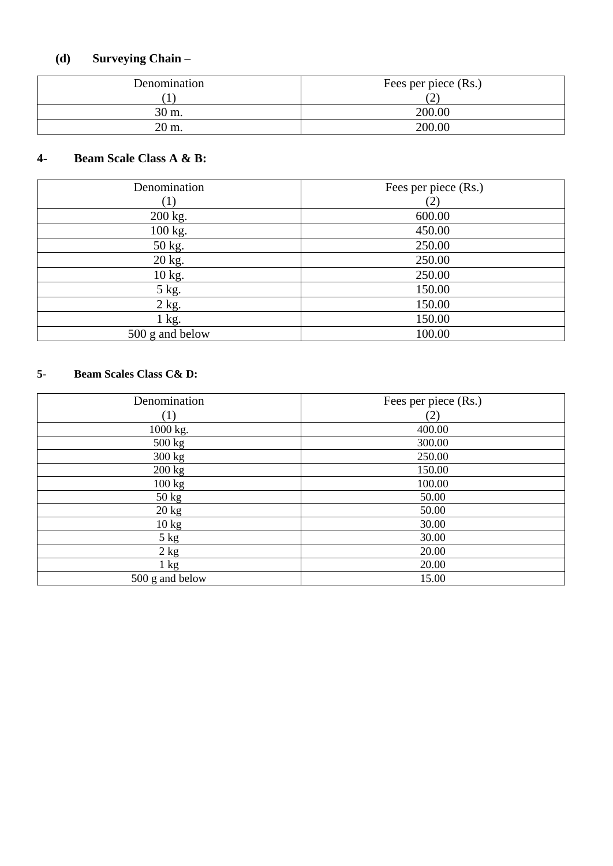#### **(d) Surveying Chain –**

| Denomination | Fees per piece (Rs.) |
|--------------|----------------------|
|              |                      |
| 30 m.        | 200.00               |
| 20 m.        | 200.00               |

#### **4 - Beam Scale Class A & B:**

| Denomination     | Fees per piece (Rs.) |
|------------------|----------------------|
| $\left(1\right)$ | (2)                  |
| 200 kg.          | 600.00               |
| 100 kg.          | 450.00               |
| 50 kg.           | 250.00               |
| 20 kg.           | 250.00               |
| 10 kg.           | 250.00               |
| 5 kg.            | 150.00               |
| $2$ kg.          | 150.00               |
| $1$ kg.          | 150.00               |
| 500 g and below  | 100.00               |

#### **5 - Beam Scales Class C& D:**

| Denomination      | Fees per piece (Rs.) |
|-------------------|----------------------|
| $\left( 1\right)$ | (2)                  |
| 1000 kg.          | 400.00               |
| 500 kg            | 300.00               |
| $300 \text{ kg}$  | 250.00               |
| 200 kg            | 150.00               |
| 100 kg            | 100.00               |
| $50 \text{ kg}$   | 50.00                |
| $20 \text{ kg}$   | 50.00                |
| $10 \text{ kg}$   | 30.00                |
| 5 kg              | 30.00                |
| 2 kg              | 20.00                |
| $1 \text{ kg}$    | 20.00                |
| 500 g and below   | 15.00                |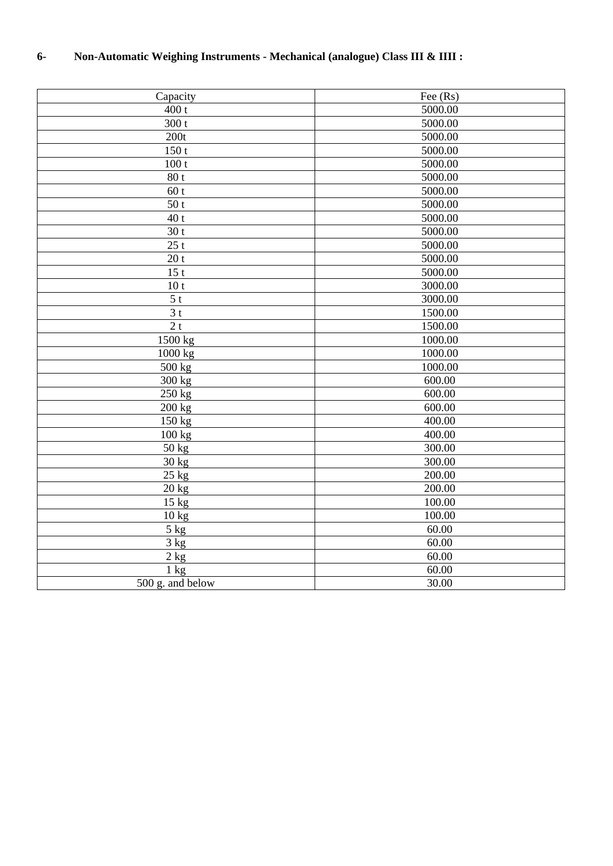# **6- Non-Automatic Weighing Instruments - Mechanical (analogue) Class III & IIII :**

| Capacity         | Fee (Rs) |
|------------------|----------|
| 400 t            | 5000.00  |
| 300t             | 5000.00  |
| 200t             | 5000.00  |
| 150t             | 5000.00  |
| 100t             | 5000.00  |
| 80t              | 5000.00  |
| 60t              | 5000.00  |
| 50t              | 5000.00  |
| 40t              | 5000.00  |
| 30 <sub>t</sub>  | 5000.00  |
| 25t              | 5000.00  |
| 20t              | 5000.00  |
| 15t              | 5000.00  |
| 10 <sub>t</sub>  | 3000.00  |
| 5 <sub>t</sub>   | 3000.00  |
| 3 <sub>t</sub>   | 1500.00  |
| 2t               | 1500.00  |
| 1500 kg          | 1000.00  |
| 1000 kg          | 1000.00  |
| 500 kg           | 1000.00  |
| 300 kg           | 600.00   |
| 250 kg           | 600.00   |
| 200 kg           | 600.00   |
| 150 kg           | 400.00   |
| 100 kg           | 400.00   |
| 50 kg            | 300.00   |
| 30 kg            | 300.00   |
| $25$ kg          | 200.00   |
| $20$ kg          | 200.00   |
| $15 \text{ kg}$  | 100.00   |
| 10 kg            | 100.00   |
| 5 kg             | 60.00    |
| 3 kg             | 60.00    |
| $2$ kg           | 60.00    |
| $1 \text{ kg}$   | 60.00    |
| 500 g. and below | 30.00    |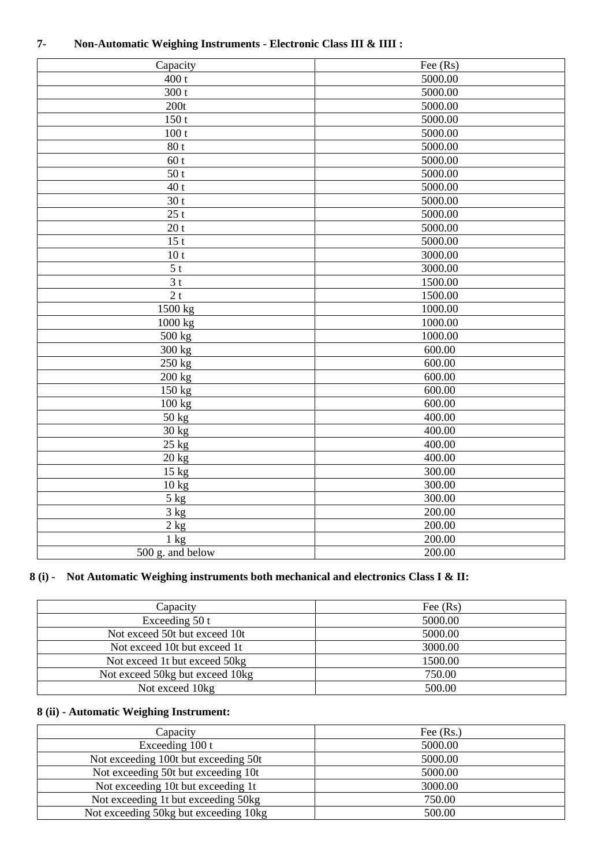| Capacity                             | Fee (Rs) |
|--------------------------------------|----------|
| 400t                                 | 5000.00  |
| 300t                                 | 5000.00  |
| 200t                                 | 5000.00  |
| 150t                                 | 5000.00  |
| 100t                                 | 5000.00  |
| 80t                                  | 5000.00  |
| 60t                                  | 5000.00  |
| 50t                                  | 5000.00  |
| $\overline{40}$ t                    | 5000.00  |
| $\overline{3}0$ t                    | 5000.00  |
| 25t                                  | 5000.00  |
| 20 <sub>t</sub>                      | 5000.00  |
| 15t                                  | 5000.00  |
| 10 <sub>t</sub>                      | 3000.00  |
| 5 <sub>t</sub>                       | 3000.00  |
| 3 <sub>t</sub>                       | 1500.00  |
| $\overline{2t}$                      | 1500.00  |
| 1500 kg                              | 1000.00  |
| 1000 kg                              | 1000.00  |
| $500 \text{ kg}$                     | 1000.00  |
| $300 \text{ kg}$                     | 600.00   |
| 250 kg                               | 600.00   |
| $\overline{200}$ kg                  | 600.00   |
| $150$ kg                             | 600.00   |
| $\overline{100}$ kg                  | 600.00   |
| 50 kg                                | 400.00   |
| 30 kg                                | 400.00   |
| 25 kg                                | 400.00   |
| 20 kg                                | 400.00   |
| 15 kg                                | 300.00   |
| $10$ kg                              | 300.00   |
| $5$ kg                               | 300.00   |
| $3 \text{ kg}$                       | 200.00   |
| 2 kg                                 | 200.00   |
| $1 \text{ kg}$                       | 200.00   |
| $\overline{500 \text{ g}}$ and below | 200.00   |
|                                      |          |

#### **7- Non-Automatic Weighing Instruments - Electronic Class III & IIII :**

### **8 (i) - Not Automatic Weighing instruments both mechanical and electronics Class I & II:**

| Capacity                        | Fee $(Rs)$ |
|---------------------------------|------------|
| Exceeding $50t$                 | 5000.00    |
| Not exceed 50t but exceed 10t   | 5000.00    |
| Not exceed 10t but exceed 1t    | 3000.00    |
| Not exceed 1t but exceed 50kg   | 1500.00    |
| Not exceed 50kg but exceed 10kg | 750.00     |
| Not exceed 10kg                 | 500.00     |

### **8 (ii) - Automatic Weighing Instrument:**

| Capacity                              | Fee $(Rs.)$ |
|---------------------------------------|-------------|
| Exceeding 100 t                       | 5000.00     |
| Not exceeding 100t but exceeding 50t  | 5000.00     |
| Not exceeding 50t but exceeding 10t   | 5000.00     |
| Not exceeding 10t but exceeding 1t    | 3000.00     |
| Not exceeding 1t but exceeding 50kg   | 750.00      |
| Not exceeding 50kg but exceeding 10kg | 500.00      |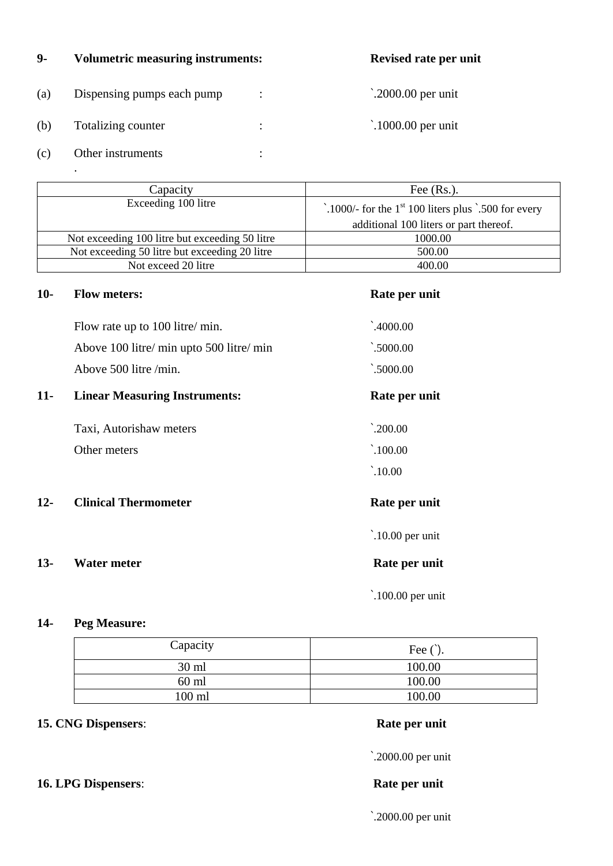#### **9- Volumetric measuring instruments:**

| (a) | Dispensing pumps each pump |   |  |
|-----|----------------------------|---|--|
| (b) | Totalizing counter         | ٠ |  |
| (c) | Other instruments          |   |  |

 $\dot{\;}$  2000.00 per unit

 $\dot{\;}$  1000.00 per unit

| Capacity                                       | Fee $(Rs.)$ .                                        |
|------------------------------------------------|------------------------------------------------------|
| Exceeding 100 litre                            | .1000/- for the $1st$ 100 liters plus .500 for every |
|                                                | additional 100 liters or part thereof.               |
| Not exceeding 100 litre but exceeding 50 litre | 1000.00                                              |
| Not exceeding 50 litre but exceeding 20 litre  | 500.00                                               |
| Not exceed 20 litre                            | 400.00                                               |

#### **10- Flow meters: Rate per unit**

.

 $\dot{ }$ .4000.00

 $\dot{-.}5000.00$ 

 $\dot{ }$ .5000.00

| Flow rate up to 100 litre/ min.          |  |
|------------------------------------------|--|
| Above 100 litre/ min upto 500 litre/ min |  |
| Above $500$ litre /min.                  |  |

### 11- **Linear Measuring Instruments:** Rate per unit

Taxi, Autorishaw meters `.200.00 Other meters  $\qquad 100.00$ 

**12- Clinical Thermometer Rate per unit** 

### 13- Water meter **Rate per unit**

`.10.00

`.10.00 per unit

`.100.00 per unit

#### **14- Peg Measure:**

| Capacity | Fee $()$ . |
|----------|------------|
| 30 ml    | 100.00     |
| $60$ ml  | 100.00     |
| 100 ml   | 100.00     |

### **15. CNG Dispensers**: **Rate per unit**

`.2000.00 per unit

`.2000.00 per unit

#### **16. LPG Dispensers**: **Rate per unit**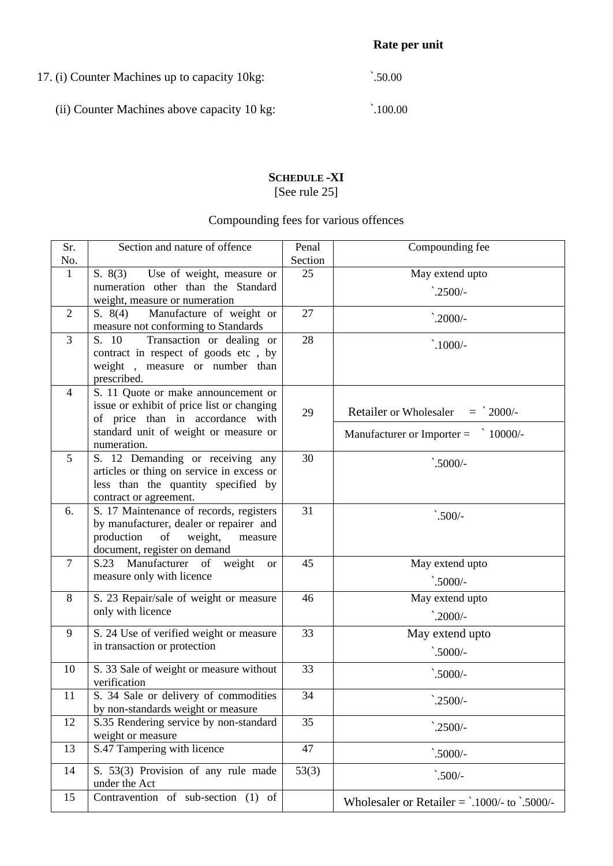17. (i) Counter Machines up to capacity 10kg:  $\qquad \qquad$  .50.00

(ii) Counter Machines above capacity 10 kg:  $\qquad \qquad \ddots$ 100.00

# **SCHEDULE -XI** [See rule 25]

# Compounding fees for various offences

| Sr.            | Section and nature of offence                                                | Penal   | Compounding fee                                 |
|----------------|------------------------------------------------------------------------------|---------|-------------------------------------------------|
| No.            |                                                                              | Section |                                                 |
| $\mathbf{1}$   | Use of weight, measure or<br>S. 8(3)                                         | 25      | May extend upto                                 |
|                | numeration other than the Standard                                           |         | $^{\cdot}$ .2500/-                              |
|                | weight, measure or numeration                                                |         |                                                 |
| $\overline{2}$ | S. $8(4)$<br>Manufacture of weight or<br>measure not conforming to Standards | 27      | $^{\cdot}$ .2000/-                              |
| 3              | S. 10<br>Transaction or dealing or                                           | 28      | $\dot{\cdot}$ .1000/-                           |
|                | contract in respect of goods etc, by                                         |         |                                                 |
|                | weight, measure or number than                                               |         |                                                 |
|                | prescribed.                                                                  |         |                                                 |
| $\overline{4}$ | S. 11 Quote or make announcement or                                          |         |                                                 |
|                | issue or exhibit of price list or changing                                   | 29      | <b>Retailer or Wholesaler</b><br>$=$ 2000/-     |
|                | of price than in accordance with<br>standard unit of weight or measure or    |         |                                                 |
|                | numeration.                                                                  |         | Manufacturer or Importer $=$<br>$10000/-$       |
| 5              | S. 12 Demanding or receiving any                                             | 30      |                                                 |
|                | articles or thing on service in excess or                                    |         | $\dot{-}5000/-$                                 |
|                | less than the quantity specified by                                          |         |                                                 |
|                | contract or agreement.                                                       |         |                                                 |
| 6.             | S. 17 Maintenance of records, registers                                      | 31      | $\dot{-}500/-$                                  |
|                | by manufacturer, dealer or repairer and                                      |         |                                                 |
|                | production<br>of<br>weight,<br>measure                                       |         |                                                 |
|                | document, register on demand                                                 |         |                                                 |
| $\tau$         | S.23 Manufacturer of weight<br><b>or</b>                                     | 45      | May extend upto                                 |
|                | measure only with licence                                                    |         | $\dot{-}5000/-$                                 |
| 8              | S. 23 Repair/sale of weight or measure                                       | 46      | May extend upto                                 |
|                | only with licence                                                            |         | $\degree$ :2000/-                               |
| 9              | S. 24 Use of verified weight or measure                                      | 33      | May extend upto                                 |
|                | in transaction or protection                                                 |         | $\dot{-}5000/-$                                 |
|                |                                                                              | 33      |                                                 |
| 10             | S. 33 Sale of weight or measure without<br>verification                      |         | $\dot{-}5000/-$                                 |
| 11             | S. 34 Sale or delivery of commodities                                        | 34      |                                                 |
|                | by non-standards weight or measure                                           |         | $^{\cdot}$ .2500/-                              |
| 12             | S.35 Rendering service by non-standard                                       | 35      | $^{\cdot}$ .2500/-                              |
|                | weight or measure                                                            |         |                                                 |
| 13             | S.47 Tampering with licence                                                  | 47      | $\dot{-}5000/-$                                 |
| 14             | S. 53(3) Provision of any rule made                                          | 53(3)   | $\dot{-}500/-$                                  |
|                | under the Act                                                                |         |                                                 |
| 15             | Contravention of sub-section (1) of                                          |         | Wholesaler or Retailer $=$ `.1000/- to `.5000/- |